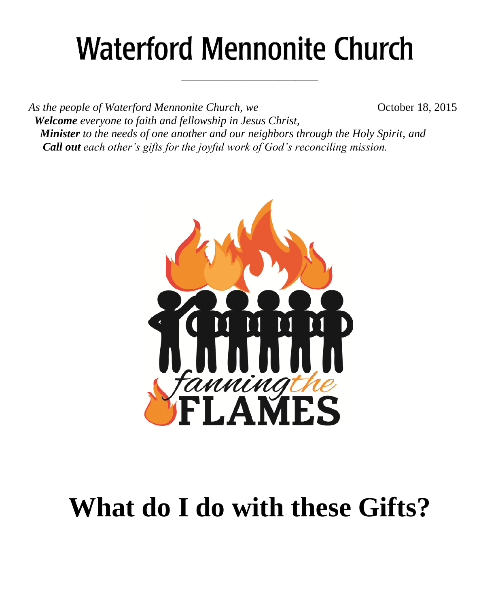# **Waterford Mennonite Church**

\_\_\_\_\_\_\_\_\_\_\_\_\_\_\_\_\_\_\_\_\_\_\_\_

*As the people of Waterford Mennonite Church, we* **Change 6** October 18, 2015  *Welcome everyone to faith and fellowship in Jesus Christ, Minister to the needs of one another and our neighbors through the Holy Spirit, and Call out each other's gifts for the joyful work of God's reconciling mission.*



# **What do I do with these Gifts?**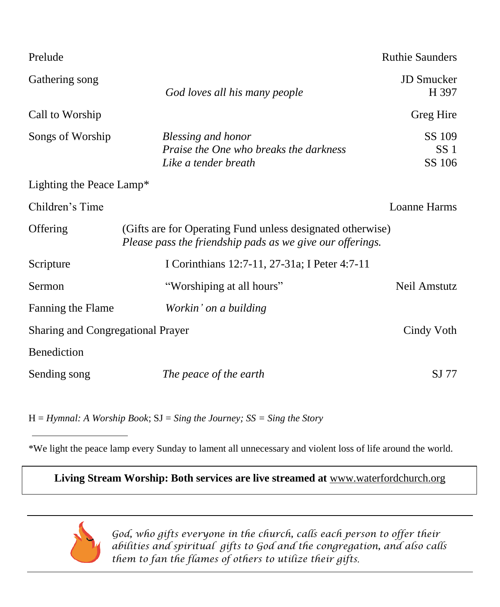| Prelude                           |                                                                                                                         | <b>Ruthie Saunders</b>              |
|-----------------------------------|-------------------------------------------------------------------------------------------------------------------------|-------------------------------------|
| Gathering song                    | God loves all his many people                                                                                           | <b>JD</b> Smucker<br>H 397          |
| Call to Worship                   |                                                                                                                         | Greg Hire                           |
| Songs of Worship                  | Blessing and honor<br>Praise the One who breaks the darkness<br>Like a tender breath                                    | SS 109<br>SS <sub>1</sub><br>SS 106 |
| Lighting the Peace Lamp*          |                                                                                                                         |                                     |
| Children's Time                   |                                                                                                                         | Loanne Harms                        |
| Offering                          | (Gifts are for Operating Fund unless designated otherwise)<br>Please pass the friendship pads as we give our offerings. |                                     |
| Scripture                         | I Corinthians 12:7-11, 27-31a; I Peter 4:7-11                                                                           |                                     |
| Sermon                            | "Worshiping at all hours"                                                                                               | Neil Amstutz                        |
| Fanning the Flame                 | Workin' on a building                                                                                                   |                                     |
| Sharing and Congregational Prayer |                                                                                                                         | Cindy Voth                          |
| Benediction                       |                                                                                                                         |                                     |
| Sending song                      | The peace of the earth                                                                                                  | SJ 77                               |

H = *Hymnal: A Worship Book*; SJ = *Sing the Journey; SS = Sing the Story*

\*We light the peace lamp every Sunday to lament all unnecessary and violent loss of life around the world.

**Living Stream Worship: Both services are live streamed at** [www.waterfordchurch.org](http://www.waterfordchurch.org/)



 *God, who gifts everyone in the church, calls each person to offer their abilities and spiritual gifts to God and the congregation, and also calls them to fan the flames of others to utilize their gifts.*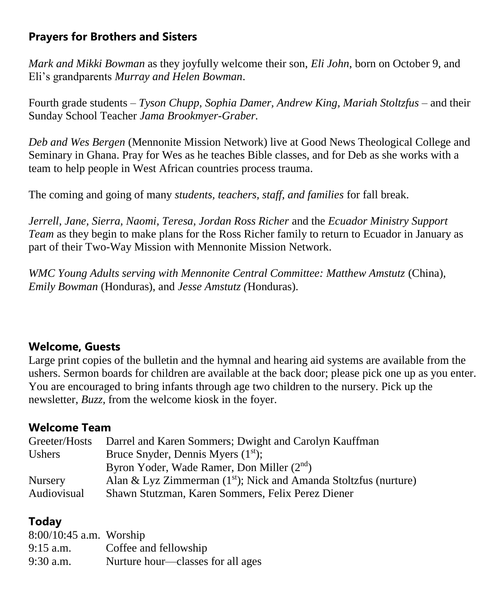# **Prayers for Brothers and Sisters**

*Mark and Mikki Bowman* as they joyfully welcome their son, *Eli John*, born on October 9, and Eli's grandparents *Murray and Helen Bowman*.

Fourth grade students *– Tyson Chupp, Sophia Damer, Andrew King, Mariah Stoltzfus –* and their Sunday School Teacher *Jama Brookmyer-Graber.*

*Deb and Wes Bergen* (Mennonite Mission Network) live at Good News Theological College and Seminary in Ghana. Pray for Wes as he teaches Bible classes, and for Deb as she works with a team to help people in West African countries process trauma.

The coming and going of many *students, teachers, staff, and families* for fall break.

*Jerrell, Jane, Sierra, Naomi, Teresa, Jordan Ross Richer* and the *Ecuador Ministry Support Team* as they begin to make plans for the Ross Richer family to return to Ecuador in January as part of their Two-Way Mission with Mennonite Mission Network.

*WMC Young Adults serving with Mennonite Central Committee: Matthew Amstutz* (China), *Emily Bowman* (Honduras), and *Jesse Amstutz (*Honduras).

#### **Welcome, Guests**

Large print copies of the bulletin and the hymnal and hearing aid systems are available from the ushers. Sermon boards for children are available at the back door; please pick one up as you enter. You are encouraged to bring infants through age two children to the nursery. Pick up the newsletter, *Buzz,* from the welcome kiosk in the foyer.

## **Welcome Team**

| Greeter/Hosts  | Darrel and Karen Sommers; Dwight and Carolyn Kauffman              |
|----------------|--------------------------------------------------------------------|
| <b>Ushers</b>  | Bruce Snyder, Dennis Myers $(1st)$ ;                               |
|                | Byron Yoder, Wade Ramer, Don Miller (2 <sup>nd</sup> )             |
| <b>Nursery</b> | Alan & Lyz Zimmerman $(1st)$ ; Nick and Amanda Stoltzfus (nurture) |
| Audiovisual    | Shawn Stutzman, Karen Sommers, Felix Perez Diener                  |

# **Today**

| $8:00/10:45$ a.m. Worship |                                   |
|---------------------------|-----------------------------------|
| $9:15$ a.m.               | Coffee and fellowship             |
| $9:30$ a.m.               | Nurture hour—classes for all ages |